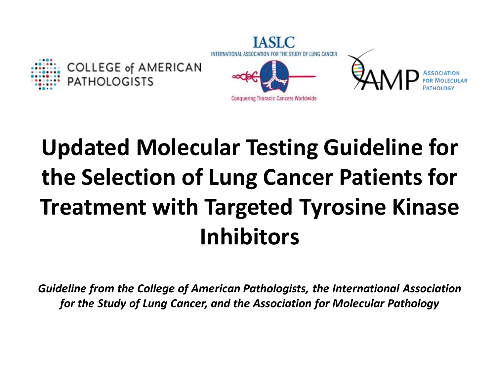

# **Updated Molecular Testing Guideline for the Selection of Lung Cancer Patients for Treatment with Targeted Tyrosine Kinase Inhibitors**

*Guideline from the College of American Pathologists, the International Association for the Study of Lung Cancer, and the Association for Molecular Pathology*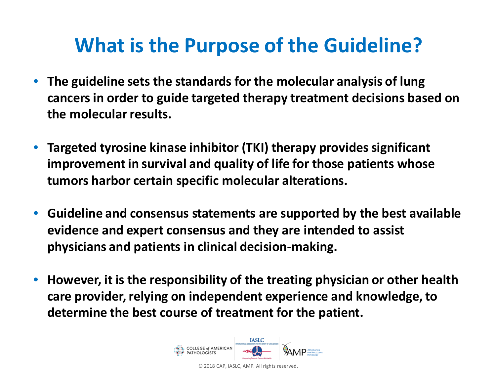## **What is the Purpose of the Guideline?**

- **The guideline sets the standards for the molecular analysis of lung cancers in order to guide targeted therapy treatment decisions based on the molecular results.**
- **Targeted tyrosine kinase inhibitor (TKI) therapy provides significant improvement in survival and quality of life for those patients whose tumors harbor certain specific molecular alterations.**
- **Guideline and consensus statements are supported by the best available evidence and expert consensus and they are intended to assist physicians and patients in clinical decision-making.**
- **However, it is the responsibility of the treating physician or other health care provider, relying on independent experience and knowledge, to determine the best course of treatment for the patient.**

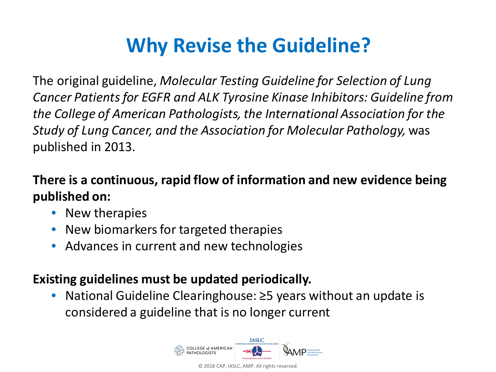## **Why Revise the Guideline?**

The original guideline, *Molecular Testing Guideline for Selection of Lung Cancer Patients for EGFR and ALK Tyrosine Kinase Inhibitors: Guideline from the College of American Pathologists, the International Association for the Study of Lung Cancer, and the Association for Molecular Pathology,* was published in 2013.

#### **There is a continuous, rapid flow of information and new evidence being published on:**

- New therapies
- New biomarkers for targeted therapies
- Advances in current and new technologies

#### **Existing guidelines must be updated periodically.**

• National Guideline Clearinghouse: ≥5 years without an update is considered a guideline that is no longer current

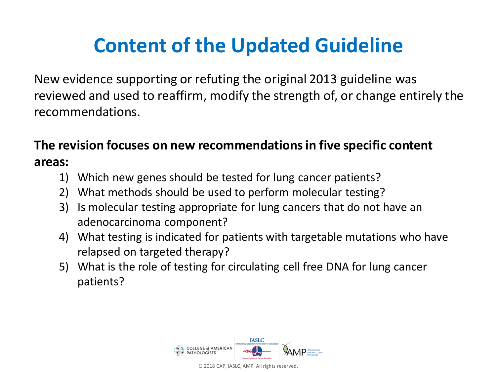## **Content of the Updated Guideline**

New evidence supporting or refuting the original 2013 guideline was reviewed and used to reaffirm, modify the strength of, or change entirely the recommendations.

#### **The revision focuses on new recommendations in five specific content areas:**

- 1) Which new genes should be tested for lung cancer patients?
- 2) What methods should be used to perform molecular testing?
- 3) Is molecular testing appropriate for lung cancers that do not have an adenocarcinoma component?
- 4) What testing is indicated for patients with targetable mutations who have relapsed on targeted therapy?
- 5) What is the role of testing for circulating cell free DNA for lung cancer patients?

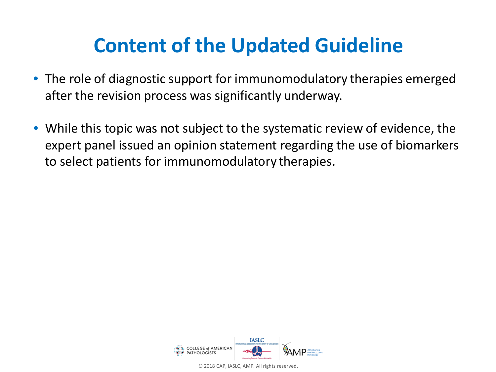## **Content of the Updated Guideline**

- The role of diagnostic support for immunomodulatory therapies emerged after the revision process was significantly underway.
- While this topic was not subject to the systematic review of evidence, the expert panel issued an opinion statement regarding the use of biomarkers to select patients for immunomodulatory therapies.

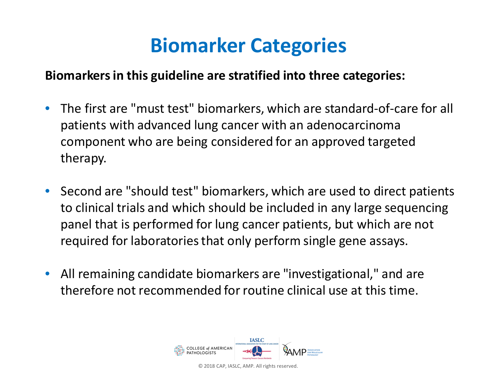## **Biomarker Categories**

#### **Biomarkers in this guideline are stratified into three categories:**

- The first are "must test" biomarkers, which are standard-of-care for all patients with advanced lung cancer with an adenocarcinoma component who are being considered for an approved targeted therapy.
- Second are "should test" biomarkers, which are used to direct patients to clinical trials and which should be included in any large sequencing panel that is performed for lung cancer patients, but which are not required for laboratories that only perform single gene assays.
- All remaining candidate biomarkers are "investigational," and are therefore not recommended for routine clinical use at this time.

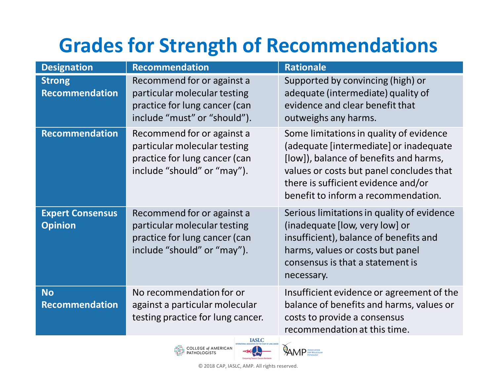# **Grades for Strength of Recommendations**

| <b>Designation</b>                        | <b>Recommendation</b>                                                                                                       | <b>Rationale</b>                                                                                                                                                                                                                                      |
|-------------------------------------------|-----------------------------------------------------------------------------------------------------------------------------|-------------------------------------------------------------------------------------------------------------------------------------------------------------------------------------------------------------------------------------------------------|
| <b>Strong</b><br><b>Recommendation</b>    | Recommend for or against a<br>particular molecular testing<br>practice for lung cancer (can<br>include "must" or "should"). | Supported by convincing (high) or<br>adequate (intermediate) quality of<br>evidence and clear benefit that<br>outweighs any harms.                                                                                                                    |
| <b>Recommendation</b>                     | Recommend for or against a<br>particular molecular testing<br>practice for lung cancer (can<br>include "should" or "may").  | Some limitations in quality of evidence<br>(adequate [intermediate] or inadequate<br>[low]), balance of benefits and harms,<br>values or costs but panel concludes that<br>there is sufficient evidence and/or<br>benefit to inform a recommendation. |
| <b>Expert Consensus</b><br><b>Opinion</b> | Recommend for or against a<br>particular molecular testing<br>practice for lung cancer (can<br>include "should" or "may").  | Serious limitations in quality of evidence<br>(inadequate [low, very low] or<br>insufficient), balance of benefits and<br>harms, values or costs but panel<br>consensus is that a statement is<br>necessary.                                          |
| <b>No</b><br><b>Recommendation</b>        | No recommendation for or<br>against a particular molecular<br>testing practice for lung cancer.                             | Insufficient evidence or agreement of the<br>balance of benefits and harms, values or<br>costs to provide a consensus<br>recommendation at this time.                                                                                                 |



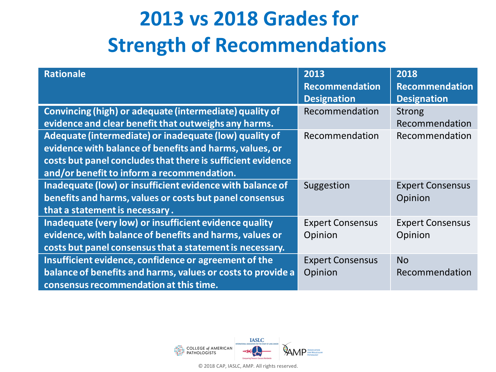# **2013 vs 2018 Grades for Strength of Recommendations**

| <b>Rationale</b>                                                                                                                                                                                                               | 2013<br><b>Recommendation</b><br><b>Designation</b> | 2018<br><b>Recommendation</b><br><b>Designation</b> |
|--------------------------------------------------------------------------------------------------------------------------------------------------------------------------------------------------------------------------------|-----------------------------------------------------|-----------------------------------------------------|
| Convincing (high) or adequate (intermediate) quality of<br>evidence and clear benefit that outweighs any harms.                                                                                                                | Recommendation                                      | <b>Strong</b><br>Recommendation                     |
| Adequate (intermediate) or inadequate (low) quality of<br>evidence with balance of benefits and harms, values, or<br>costs but panel concludes that there is sufficient evidence<br>and/or benefit to inform a recommendation. | Recommendation                                      | Recommendation                                      |
| Inadequate (low) or insufficient evidence with balance of<br>benefits and harms, values or costs but panel consensus<br>that a statement is necessary.                                                                         | Suggestion                                          | <b>Expert Consensus</b><br>Opinion                  |
| Inadequate (very low) or insufficient evidence quality<br>evidence, with balance of benefits and harms, values or<br>costs but panel consensus that a statement is necessary.                                                  | <b>Expert Consensus</b><br>Opinion                  | <b>Expert Consensus</b><br>Opinion                  |
| Insufficient evidence, confidence or agreement of the<br>balance of benefits and harms, values or costs to provide a<br>consensus recommendation at this time.                                                                 | <b>Expert Consensus</b><br>Opinion                  | <b>No</b><br>Recommendation                         |

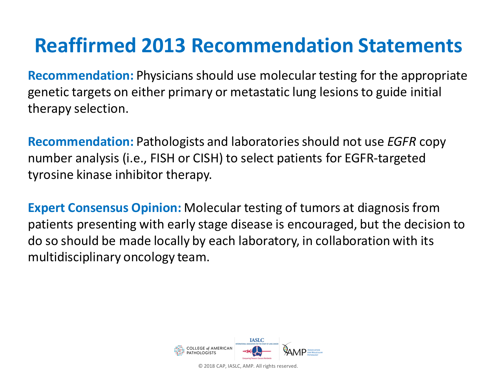## **Reaffirmed 2013 Recommendation Statements**

**Recommendation:** Physicians should use molecular testing for the appropriate genetic targets on either primary or metastatic lung lesions to guide initial therapy selection.

**Recommendation:** Pathologists and laboratories should not use *EGFR* copy number analysis (i.e., FISH or CISH) to select patients for EGFR-targeted tyrosine kinase inhibitor therapy.

**Expert Consensus Opinion:** Molecular testing of tumors at diagnosis from patients presenting with early stage disease is encouraged, but the decision to do so should be made locally by each laboratory, in collaboration with its multidisciplinary oncology team.

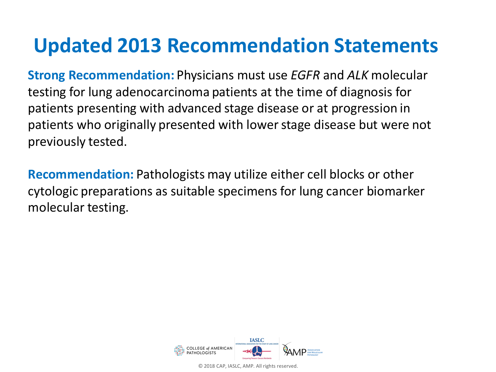## **Updated 2013 Recommendation Statements**

**Strong Recommendation:** Physicians must use *EGFR* and *ALK* molecular testing for lung adenocarcinoma patients at the time of diagnosis for patients presenting with advanced stage disease or at progression in patients who originally presented with lower stage disease but were not previously tested.

**Recommendation:** Pathologists may utilize either cell blocks or other cytologic preparations as suitable specimens for lung cancer biomarker molecular testing.

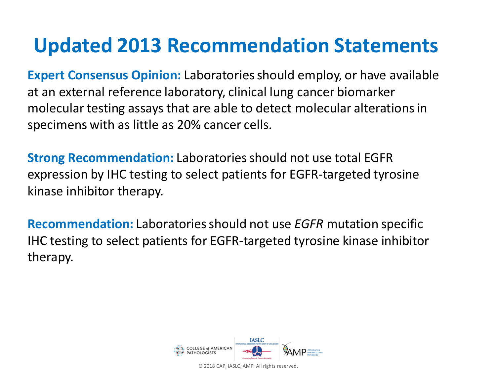## **Updated 2013 Recommendation Statements**

**Expert Consensus Opinion:** Laboratories should employ, or have available at an external reference laboratory, clinical lung cancer biomarker molecular testing assays that are able to detect molecular alterations in specimens with as little as 20% cancer cells.

**Strong Recommendation:** Laboratories should not use total EGFR expression by IHC testing to select patients for EGFR-targeted tyrosine kinase inhibitor therapy.

**Recommendation:** Laboratories should not use *EGFR* mutation specific IHC testing to select patients for EGFR-targeted tyrosine kinase inhibitor therapy.

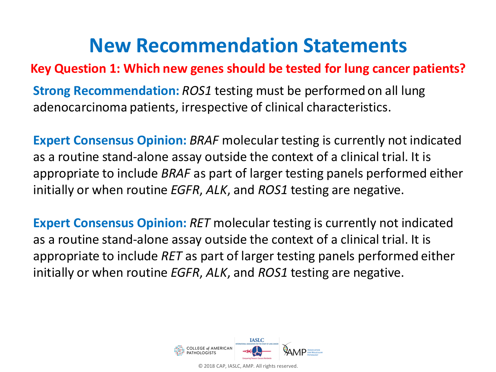#### **Key Question 1: Which new genes should be tested for lung cancer patients?**

**Strong Recommendation:** *ROS1* testing must be performed on all lung adenocarcinoma patients, irrespective of clinical characteristics.

**Expert Consensus Opinion: BRAF** molecular testing is currently not indicated as a routine stand-alone assay outside the context of a clinical trial. It is appropriate to include *BRAF* as part of larger testing panels performed either initially or when routine *EGFR*, *ALK*, and *ROS1* testing are negative.

**Expert Consensus Opinion: RET** molecular testing is currently not indicated as a routine stand-alone assay outside the context of a clinical trial. It is appropriate to include *RET* as part of larger testing panels performed either initially or when routine *EGFR*, *ALK*, and *ROS1* testing are negative.

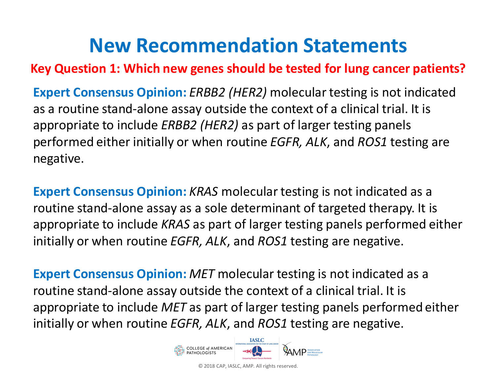**Key Question 1: Which new genes should be tested for lung cancer patients?** 

**Expert Consensus Opinion:** *ERBB2 (HER2)* molecular testing is not indicated as a routine stand-alone assay outside the context of a clinical trial. It is appropriate to include *ERBB2 (HER2)* as part of larger testing panels performed either initially or when routine *EGFR, ALK*, and *ROS1* testing are negative.

**Expert Consensus Opinion:** *KRAS* molecular testing is not indicated as a routine stand-alone assay as a sole determinant of targeted therapy. It is appropriate to include *KRAS* as part of larger testing panels performed either initially or when routine *EGFR, ALK*, and *ROS1* testing are negative.

**Expert Consensus Opinion:** *MET* molecular testing is not indicated as a routine stand-alone assay outside the context of a clinical trial. It is appropriate to include *MET* as part of larger testing panels performed either initially or when routine *EGFR, ALK*, and *ROS1* testing are negative.

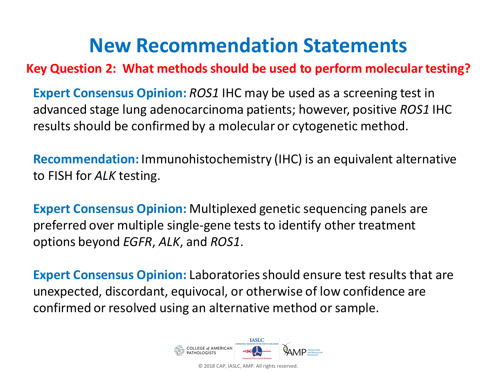#### **Key Question 2: What methods should be used to perform molecular testing?**

**Expert Consensus Opinion:** *ROS1* IHC may be used as a screening test in advanced stage lung adenocarcinoma patients; however, positive *ROS1* IHC results should be confirmed by a molecular or cytogenetic method.

**Recommendation:** Immunohistochemistry (IHC) is an equivalent alternative to FISH for *ALK* testing.

**Expert Consensus Opinion:** Multiplexed genetic sequencing panels are preferred over multiple single-gene tests to identify other treatment options beyond *EGFR*, *ALK*, and *ROS1*.

**Expert Consensus Opinion:** Laboratories should ensure test results that are unexpected, discordant, equivocal, or otherwise of low confidence are confirmed or resolved using an alternative method or sample.

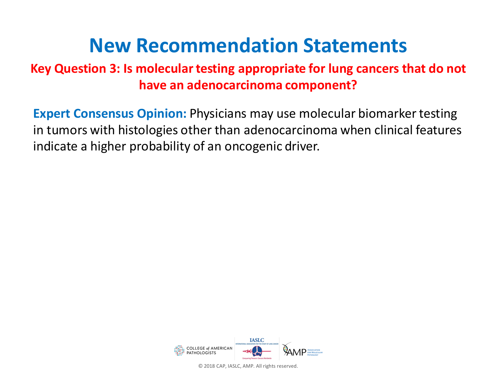#### **Key Question 3: Is molecular testing appropriate for lung cancers that do not have an adenocarcinoma component?**

**Expert Consensus Opinion:** Physicians may use molecular biomarker testing in tumors with histologies other than adenocarcinoma when clinical features indicate a higher probability of an oncogenic driver.

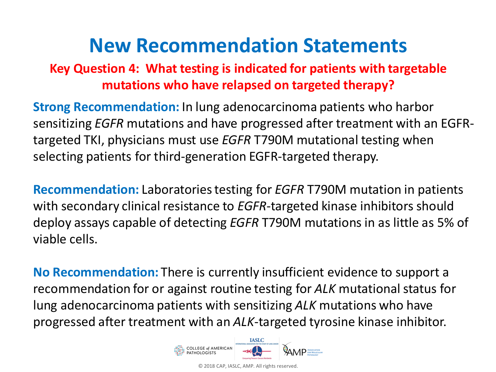#### **Key Question 4: What testing is indicated for patients with targetable mutations who have relapsed on targeted therapy?**

**Strong Recommendation:** In lung adenocarcinoma patients who harbor sensitizing *EGFR* mutations and have progressed after treatment with an EGFRtargeted TKI, physicians must use *EGFR* T790M mutational testing when selecting patients for third-generation EGFR-targeted therapy.

**Recommendation:** Laboratories testing for *EGFR* T790M mutation in patients with secondary clinical resistance to *EGFR*-targeted kinase inhibitors should deploy assays capable of detecting *EGFR* T790M mutations in as little as 5% of viable cells.

**No Recommendation:** There is currently insufficient evidence to support a recommendation for or against routine testing for *ALK* mutational status for lung adenocarcinoma patients with sensitizing *ALK* mutations who have progressed after treatment with an *ALK*-targeted tyrosine kinase inhibitor.

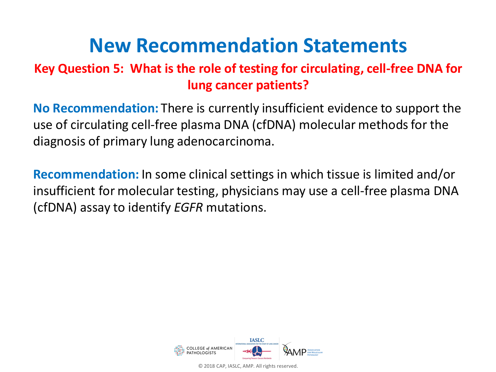#### **Key Question 5: What is the role of testing for circulating, cell-free DNA for lung cancer patients?**

**No Recommendation:** There is currently insufficient evidence to support the use of circulating cell-free plasma DNA (cfDNA) molecular methods for the diagnosis of primary lung adenocarcinoma.

**Recommendation:** In some clinical settings in which tissue is limited and/or insufficient for molecular testing, physicians may use a cell-free plasma DNA (cfDNA) assay to identify *EGFR* mutations.

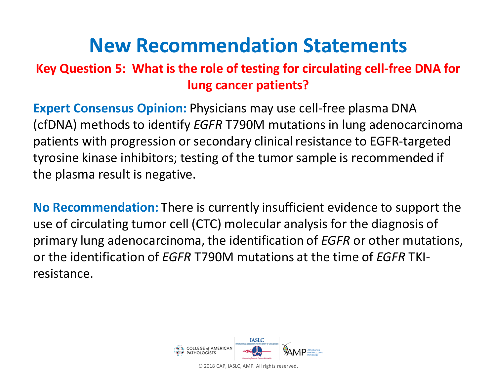#### **Key Question 5: What is the role of testing for circulating cell-free DNA for lung cancer patients?**

**Expert Consensus Opinion:** Physicians may use cell-free plasma DNA (cfDNA) methods to identify *EGFR* T790M mutations in lung adenocarcinoma patients with progression or secondary clinical resistance to EGFR-targeted tyrosine kinase inhibitors; testing of the tumor sample is recommended if the plasma result is negative.

**No Recommendation:** There is currently insufficient evidence to support the use of circulating tumor cell (CTC) molecular analysis for the diagnosis of primary lung adenocarcinoma, the identification of *EGFR* or other mutations, or the identification of *EGFR* T790M mutations at the time of *EGFR* TKIresistance.

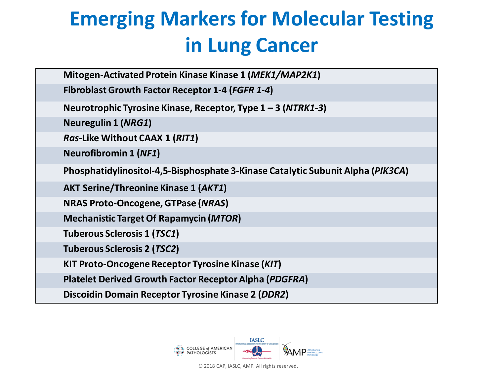# **Emerging Markers for Molecular Testing in Lung Cancer**

| Mitogen-Activated Protein Kinase Kinase 1 (MEK1/MAP2K1)                         |
|---------------------------------------------------------------------------------|
| <b>Fibroblast Growth Factor Receptor 1-4 (FGFR 1-4)</b>                         |
| Neurotrophic Tyrosine Kinase, Receptor, Type $1 - 3$ (NTRK1-3)                  |
| <b>Neuregulin 1 (NRG1)</b>                                                      |
| Ras-Like Without CAAX 1 (RIT1)                                                  |
| <b>Neurofibromin 1 (NF1)</b>                                                    |
| Phosphatidylinositol-4,5-Bisphosphate 3-Kinase Catalytic Subunit Alpha (PIK3CA) |
| <b>AKT Serine/Threonine Kinase 1 (AKT1)</b>                                     |
| <b>NRAS Proto-Oncogene, GTPase (NRAS)</b>                                       |
| <b>Mechanistic Target Of Rapamycin (MTOR)</b>                                   |
| Tuberous Sclerosis 1 (TSC1)                                                     |
| Tuberous Sclerosis 2 (TSC2)                                                     |
| <b>KIT Proto-Oncogene Receptor Tyrosine Kinase (KIT)</b>                        |
| Platelet Derived Growth Factor Receptor Alpha (PDGFRA)                          |
| Discoidin Domain Receptor Tyrosine Kinase 2 (DDR2)                              |

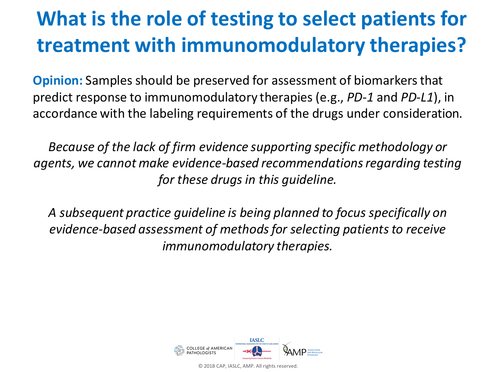# **What is the role of testing to select patients for treatment with immunomodulatory therapies?**

**Opinion:** Samples should be preserved for assessment of biomarkers that predict response to immunomodulatory therapies (e.g., *PD-1* and *PD-L1*), in accordance with the labeling requirements of the drugs under consideration.

*Because of the lack of firm evidence supporting specific methodology or agents, we cannot make evidence-based recommendations regarding testing for these drugs in this guideline.* 

*A subsequent practice guideline is being planned to focus specifically on evidence-based assessment of methods for selecting patients to receive immunomodulatory therapies.*

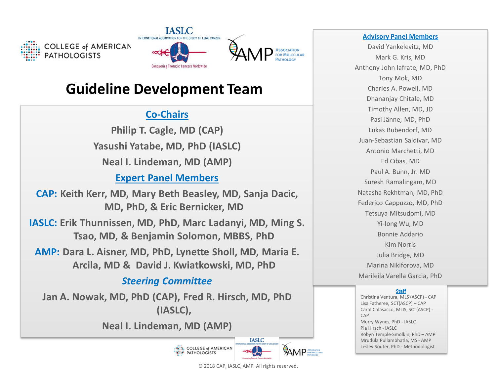



#### **Guideline Development Team**

#### **Co-Chairs**

**Philip T. Cagle, MD (CAP) Yasushi Yatabe, MD, PhD (IASLC) Neal I. Lindeman, MD (AMP)**

#### **Expert Panel Members**

**CAP: Keith Kerr, MD, Mary Beth Beasley, MD, Sanja Dacic, MD, PhD, & Eric Bernicker, MD**

**IASLC: Erik Thunnissen, MD, PhD, Marc Ladanyi, MD, Ming S. Tsao, MD, & Benjamin Solomon, MBBS, PhD**

**AMP: Dara L. Aisner, MD, PhD, Lynette Sholl, MD, Maria E. Arcila, MD & David J. Kwiatkowski, MD, PhD**

#### *Steering Committee*

**Jan A. Nowak, MD, PhD (CAP), Fred R. Hirsch, MD, PhD (IASLC),** 

**Neal I. Lindeman, MD (AMP)**





#### **Advisory Panel Members**

David Yankelevitz, MD Mark G. Kris, MD Anthony John Iafrate, MD, PhD Tony Mok, MD Charles A. Powell, MD Dhananjay Chitale, MD Timothy Allen, MD, JD Pasi Jänne, MD, PhD Lukas Bubendorf, MD Juan-Sebastian Saldivar, MD Antonio Marchetti, MD Ed Cibas, MD Paul A. Bunn, Jr. MD Suresh Ramalingam, MD Natasha Rekhtman, MD, PhD Federico Cappuzzo, MD, PhD Tetsuya Mitsudomi, MD Yi-long Wu, MD Bonnie Addario Kim Norris Julia Bridge, MD Marina Nikiforova, MD Marileila Varella Garcia, PhD

#### **Staff**

Christina Ventura, MLS (ASCP) - CAP Lisa Fatheree, SCT(ASCP) – CAP Carol Colasacco, MLIS, SCT(ASCP) - CAP Murry Wynes, PhD - IASLC Pia Hirsch - IASLC Robyn Temple-Smolkin, PhD – AMP Mrudula Pullambhatla, MS - AMP Lesley Souter, PhD - Methodologist